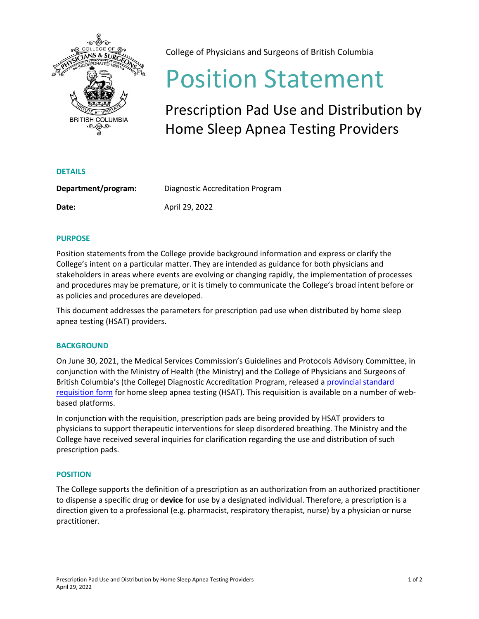

College of Physicians and Surgeons of British Columbia

# Position Statement

Prescription Pad Use and Distribution by Home Sleep Apnea Testing Providers

| Department/program: | Diagnostic Accreditation Program |
|---------------------|----------------------------------|
| Date:               | April 29, 2022                   |

## **PURPOSE**

**DETAILS**

Position statements from the College provide background information and express or clarify the College's intent on a particular matter. They are intended as guidance for both physicians and stakeholders in areas where events are evolving or changing rapidly, the implementation of processes and procedures may be premature, or it is timely to communicate the College's broad intent before or as policies and procedures are developed.

This document addresses the parameters for prescription pad use when distributed by home sleep apnea testing (HSAT) providers.

### **BACKGROUND**

On June 30, 2021, the Medical Services Commission's Guidelines and Protocols Advisory Committee, in conjunction with the Ministry of Health (the Ministry) and the College of Physicians and Surgeons of British Columbia's (the College) Diagnostic Accreditation Program, released a [provincial standard](https://www2.gov.bc.ca/assets/gov/health/forms/1944fil.pdf)  [requisition form](https://www2.gov.bc.ca/assets/gov/health/forms/1944fil.pdf) for home sleep apnea testing (HSAT). This requisition is available on a number of webbased platforms.

In conjunction with the requisition, prescription pads are being provided by HSAT providers to physicians to support therapeutic interventions for sleep disordered breathing. The Ministry and the College have received several inquiries for clarification regarding the use and distribution of such prescription pads.

### **POSITION**

The College supports the definition of a prescription as an authorization from an authorized practitioner to dispense a specific drug or **device** for use by a designated individual. Therefore, a prescription is a direction given to a professional (e.g. pharmacist, respiratory therapist, nurse) by a physician or nurse practitioner.